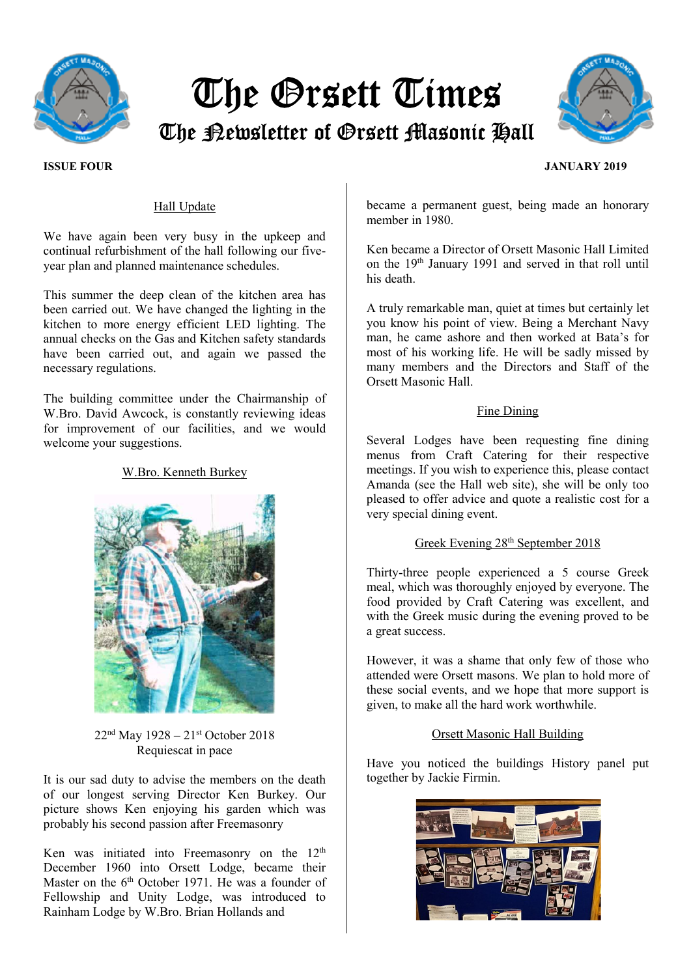

# The Orsett Times The Newsletter of Orsett Masonic Hall



# Hall Update

We have again been very busy in the upkeep and continual refurbishment of the hall following our fiveyear plan and planned maintenance schedules.

This summer the deep clean of the kitchen area has been carried out. We have changed the lighting in the kitchen to more energy efficient LED lighting. The annual checks on the Gas and Kitchen safety standards have been carried out, and again we passed the necessary regulations.

The building committee under the Chairmanship of W.Bro. David Awcock, is constantly reviewing ideas for improvement of our facilities, and we would welcome your suggestions.

# W.Bro. Kenneth Burkey



 $22<sup>nd</sup>$  May  $1928 - 21<sup>st</sup>$  October 2018 Requiescat in pace

It is our sad duty to advise the members on the death of our longest serving Director Ken Burkey. Our picture shows Ken enjoying his garden which was probably his second passion after Freemasonry

Ken was initiated into Freemasonry on the 12<sup>th</sup> December 1960 into Orsett Lodge, became their Master on the  $6<sup>th</sup>$  October 1971. He was a founder of Fellowship and Unity Lodge, was introduced to Rainham Lodge by W.Bro. Brian Hollands and

became a permanent guest, being made an honorary member in 1980.

Ken became a Director of Orsett Masonic Hall Limited on the 19th January 1991 and served in that roll until his death.

A truly remarkable man, quiet at times but certainly let you know his point of view. Being a Merchant Navy man, he came ashore and then worked at Bata's for most of his working life. He will be sadly missed by many members and the Directors and Staff of the Orsett Masonic Hall.

### Fine Dining

Several Lodges have been requesting fine dining menus from Craft Catering for their respective meetings. If you wish to experience this, please contact Amanda (see the Hall web site), she will be only too pleased to offer advice and quote a realistic cost for a very special dining event.

# Greek Evening 28th September 2018

Thirty-three people experienced a 5 course Greek meal, which was thoroughly enjoyed by everyone. The food provided by Craft Catering was excellent, and with the Greek music during the evening proved to be a great success.

However, it was a shame that only few of those who attended were Orsett masons. We plan to hold more of these social events, and we hope that more support is given, to make all the hard work worthwhile.

# Orsett Masonic Hall Building

Have you noticed the buildings History panel put together by Jackie Firmin.



# ISSUE FOUR JANUARY 2019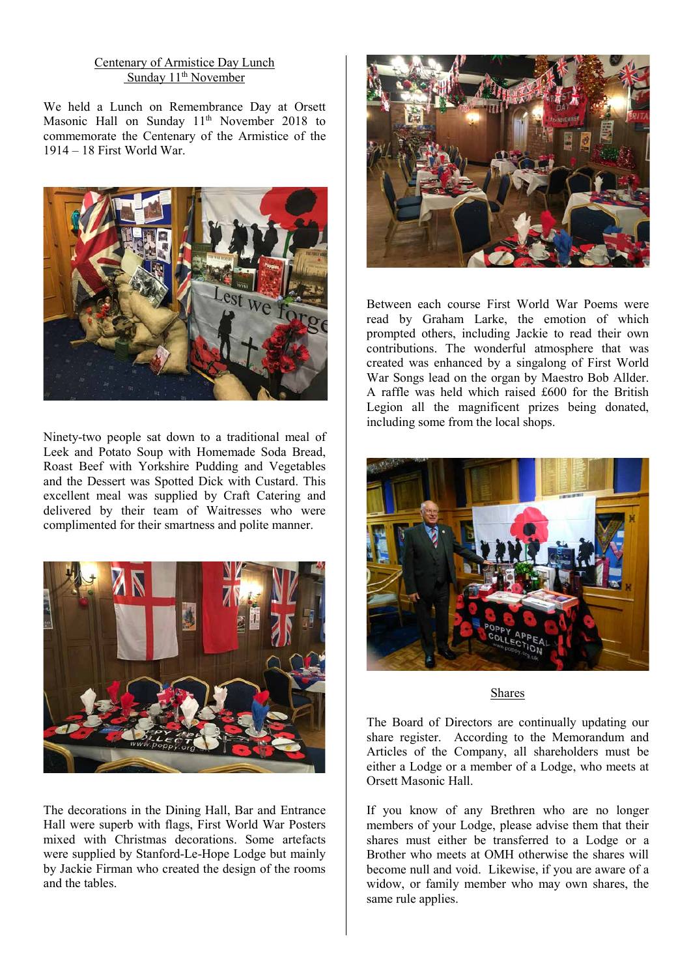# Centenary of Armistice Day Lunch Sunday  $11<sup>th</sup>$  November

We held a Lunch on Remembrance Day at Orsett Masonic Hall on Sunday  $11<sup>th</sup>$  November 2018 to commemorate the Centenary of the Armistice of the 1914 – 18 First World War.



Ninety-two people sat down to a traditional meal of Leek and Potato Soup with Homemade Soda Bread, Roast Beef with Yorkshire Pudding and Vegetables and the Dessert was Spotted Dick with Custard. This excellent meal was supplied by Craft Catering and delivered by their team of Waitresses who were complimented for their smartness and polite manner.



The decorations in the Dining Hall, Bar and Entrance Hall were superb with flags, First World War Posters mixed with Christmas decorations. Some artefacts were supplied by Stanford-Le-Hope Lodge but mainly by Jackie Firman who created the design of the rooms and the tables.



Between each course First World War Poems were read by Graham Larke, the emotion of which prompted others, including Jackie to read their own contributions. The wonderful atmosphere that was created was enhanced by a singalong of First World War Songs lead on the organ by Maestro Bob Allder. A raffle was held which raised £600 for the British Legion all the magnificent prizes being donated, including some from the local shops.



### Shares

The Board of Directors are continually updating our share register. According to the Memorandum and Articles of the Company, all shareholders must be either a Lodge or a member of a Lodge, who meets at Orsett Masonic Hall.

If you know of any Brethren who are no longer members of your Lodge, please advise them that their shares must either be transferred to a Lodge or a Brother who meets at OMH otherwise the shares will become null and void. Likewise, if you are aware of a widow, or family member who may own shares, the same rule applies.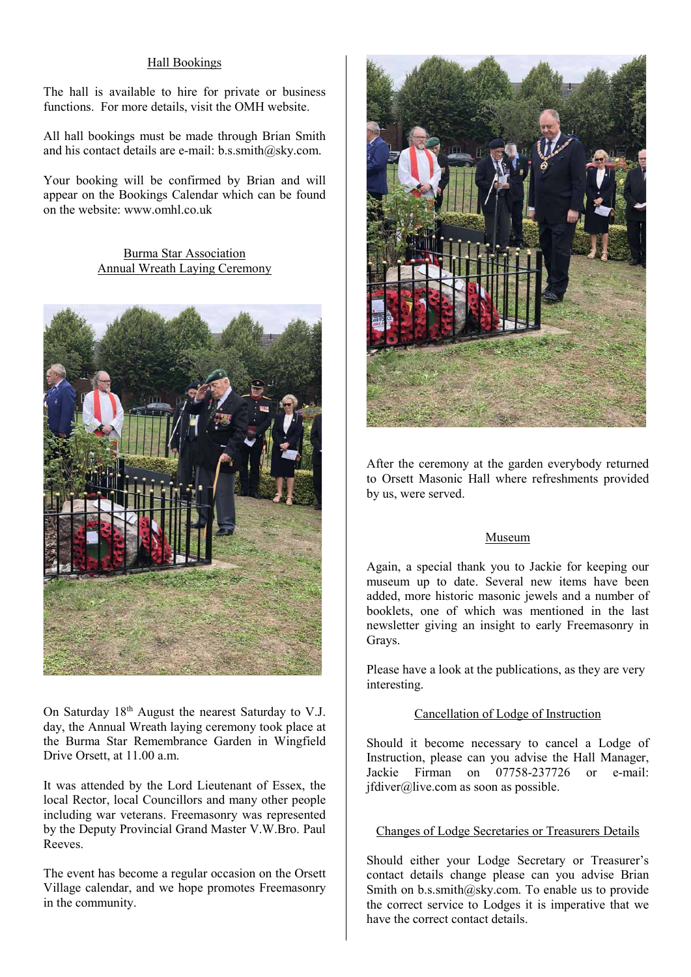# Hall Bookings

The hall is available to hire for private or business functions. For more details, visit the OMH website.

All hall bookings must be made through Brian Smith and his contact details are e-mail: b.s.smith@sky.com.

Your booking will be confirmed by Brian and will appear on the Bookings Calendar which can be found on the website: www.omhl.co.uk

> Burma Star Association Annual Wreath Laying Ceremony



On Saturday 18th August the nearest Saturday to V.J. day, the Annual Wreath laying ceremony took place at the Burma Star Remembrance Garden in Wingfield Drive Orsett, at 11.00 a.m.

It was attended by the Lord Lieutenant of Essex, the local Rector, local Councillors and many other people including war veterans. Freemasonry was represented by the Deputy Provincial Grand Master V.W.Bro. Paul Reeves.

The event has become a regular occasion on the Orsett Village calendar, and we hope promotes Freemasonry in the community.



After the ceremony at the garden everybody returned to Orsett Masonic Hall where refreshments provided by us, were served.

# Museum

Again, a special thank you to Jackie for keeping our museum up to date. Several new items have been added, more historic masonic jewels and a number of booklets, one of which was mentioned in the last newsletter giving an insight to early Freemasonry in Grays.

Please have a look at the publications, as they are very interesting.

# Cancellation of Lodge of Instruction

Should it become necessary to cancel a Lodge of Instruction, please can you advise the Hall Manager, Jackie Firman on 07758-237726 or e-mail: jfdiver@live.com as soon as possible.

# Changes of Lodge Secretaries or Treasurers Details

Should either your Lodge Secretary or Treasurer's contact details change please can you advise Brian Smith on  $b.s.$ smith@sky.com. To enable us to provide the correct service to Lodges it is imperative that we have the correct contact details.